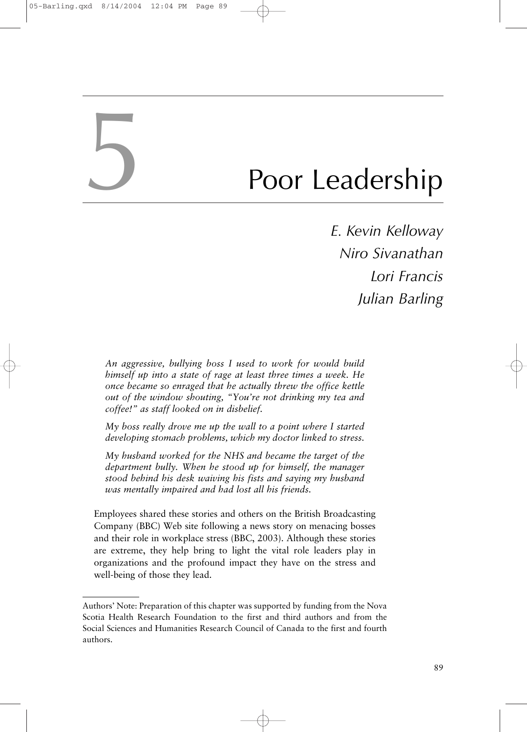

*E. Kevin Kelloway Niro Sivanathan Lori Francis Julian Barling*

*An aggressive, bullying boss I used to work for would build himself up into a state of rage at least three times a week. He once became so enraged that he actually threw the office kettle out of the window shouting, "You're not drinking my tea and coffee!" as staff looked on in disbelief.*

*My boss really drove me up the wall to a point where I started developing stomach problems, which my doctor linked to stress.*

*My husband worked for the NHS and became the target of the department bully. When he stood up for himself, the manager stood behind his desk waiving his fists and saying my husband was mentally impaired and had lost all his friends.*

Employees shared these stories and others on the British Broadcasting Company (BBC) Web site following a news story on menacing bosses and their role in workplace stress (BBC, 2003). Although these stories are extreme, they help bring to light the vital role leaders play in organizations and the profound impact they have on the stress and well-being of those they lead.

Authors' Note: Preparation of this chapter was supported by funding from the Nova Scotia Health Research Foundation to the first and third authors and from the Social Sciences and Humanities Research Council of Canada to the first and fourth authors.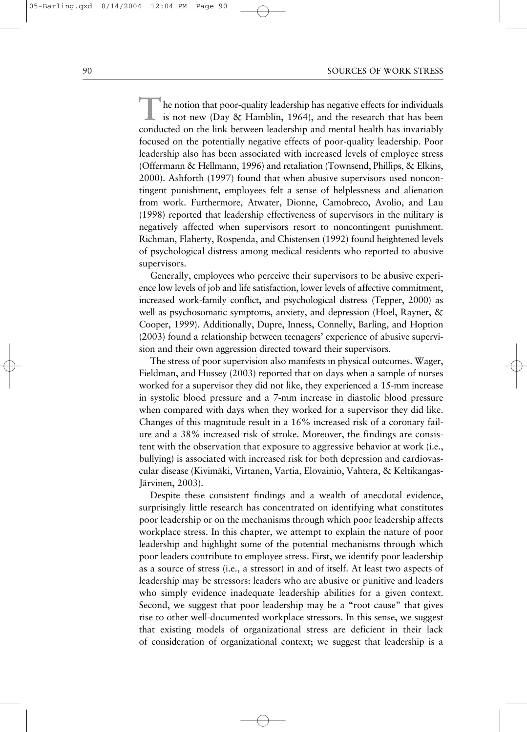**T**he notion that poor-quality leadership has negative effects for individuals is not new (Day & Hamblin, 1964), and the research that has been conducted on the link between leadership and mental health has invariably focused on the potentially negative effects of poor-quality leadership. Poor leadership also has been associated with increased levels of employee stress (Offermann & Hellmann, 1996) and retaliation (Townsend, Phillips, & Elkins, 2000). Ashforth (1997) found that when abusive supervisors used noncontingent punishment, employees felt a sense of helplessness and alienation from work. Furthermore, Atwater, Dionne, Camobreco, Avolio, and Lau (1998) reported that leadership effectiveness of supervisors in the military is negatively affected when supervisors resort to noncontingent punishment. Richman, Flaherty, Rospenda, and Chistensen (1992) found heightened levels of psychological distress among medical residents who reported to abusive supervisors.

Generally, employees who perceive their supervisors to be abusive experience low levels of job and life satisfaction, lower levels of affective commitment, increased work-family conflict, and psychological distress (Tepper, 2000) as well as psychosomatic symptoms, anxiety, and depression (Hoel, Rayner, & Cooper, 1999). Additionally, Dupre, Inness, Connelly, Barling, and Hoption (2003) found a relationship between teenagers' experience of abusive supervision and their own aggression directed toward their supervisors.

The stress of poor supervision also manifests in physical outcomes. Wager, Fieldman, and Hussey (2003) reported that on days when a sample of nurses worked for a supervisor they did not like, they experienced a 15-mm increase in systolic blood pressure and a 7-mm increase in diastolic blood pressure when compared with days when they worked for a supervisor they did like. Changes of this magnitude result in a 16% increased risk of a coronary failure and a 38% increased risk of stroke. Moreover, the findings are consistent with the observation that exposure to aggressive behavior at work (i.e., bullying) is associated with increased risk for both depression and cardiovascular disease (Kivimäki, Virtanen, Vartia, Elovainio, Vahtera, & Keltikangas-Järvinen, 2003).

Despite these consistent findings and a wealth of anecdotal evidence, surprisingly little research has concentrated on identifying what constitutes poor leadership or on the mechanisms through which poor leadership affects workplace stress. In this chapter, we attempt to explain the nature of poor leadership and highlight some of the potential mechanisms through which poor leaders contribute to employee stress. First, we identify poor leadership as a source of stress (i.e., a stressor) in and of itself. At least two aspects of leadership may be stressors: leaders who are abusive or punitive and leaders who simply evidence inadequate leadership abilities for a given context. Second, we suggest that poor leadership may be a "root cause" that gives rise to other well-documented workplace stressors. In this sense, we suggest that existing models of organizational stress are deficient in their lack of consideration of organizational context; we suggest that leadership is a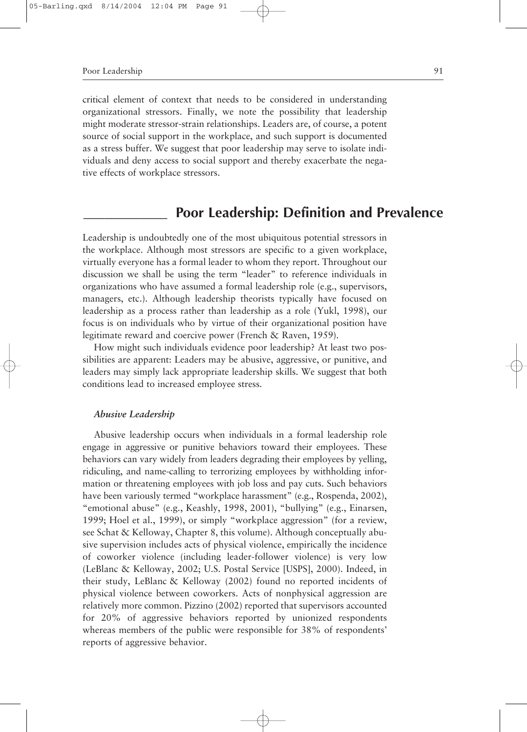critical element of context that needs to be considered in understanding organizational stressors. Finally, we note the possibility that leadership might moderate stressor-strain relationships. Leaders are, of course, a potent source of social support in the workplace, and such support is documented as a stress buffer. We suggest that poor leadership may serve to isolate individuals and deny access to social support and thereby exacerbate the negative effects of workplace stressors.

# **\_\_\_\_\_\_\_\_\_\_\_\_ Poor Leadership: Definition and Prevalence**

Leadership is undoubtedly one of the most ubiquitous potential stressors in the workplace. Although most stressors are specific to a given workplace, virtually everyone has a formal leader to whom they report. Throughout our discussion we shall be using the term "leader" to reference individuals in organizations who have assumed a formal leadership role (e.g., supervisors, managers, etc.). Although leadership theorists typically have focused on leadership as a process rather than leadership as a role (Yukl, 1998), our focus is on individuals who by virtue of their organizational position have legitimate reward and coercive power (French & Raven, 1959).

How might such individuals evidence poor leadership? At least two possibilities are apparent: Leaders may be abusive, aggressive, or punitive, and leaders may simply lack appropriate leadership skills. We suggest that both conditions lead to increased employee stress.

#### *Abusive Leadership*

Abusive leadership occurs when individuals in a formal leadership role engage in aggressive or punitive behaviors toward their employees. These behaviors can vary widely from leaders degrading their employees by yelling, ridiculing, and name-calling to terrorizing employees by withholding information or threatening employees with job loss and pay cuts. Such behaviors have been variously termed "workplace harassment" (e.g., Rospenda, 2002), "emotional abuse" (e.g., Keashly, 1998, 2001), "bullying" (e.g., Einarsen, 1999; Hoel et al., 1999), or simply "workplace aggression" (for a review, see Schat & Kelloway, Chapter 8, this volume). Although conceptually abusive supervision includes acts of physical violence, empirically the incidence of coworker violence (including leader-follower violence) is very low (LeBlanc & Kelloway, 2002; U.S. Postal Service [USPS], 2000). Indeed, in their study, LeBlanc & Kelloway (2002) found no reported incidents of physical violence between coworkers. Acts of nonphysical aggression are relatively more common. Pizzino (2002) reported that supervisors accounted for 20% of aggressive behaviors reported by unionized respondents whereas members of the public were responsible for 38% of respondents' reports of aggressive behavior.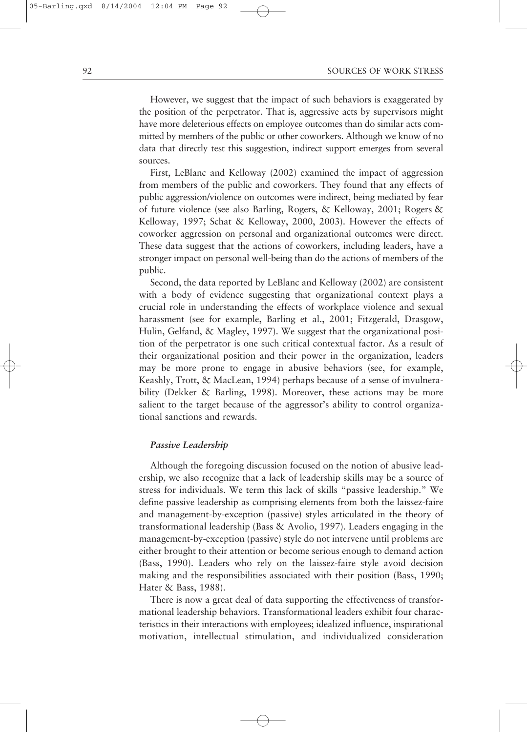However, we suggest that the impact of such behaviors is exaggerated by the position of the perpetrator. That is, aggressive acts by supervisors might have more deleterious effects on employee outcomes than do similar acts committed by members of the public or other coworkers. Although we know of no data that directly test this suggestion, indirect support emerges from several sources.

First, LeBlanc and Kelloway (2002) examined the impact of aggression from members of the public and coworkers. They found that any effects of public aggression/violence on outcomes were indirect, being mediated by fear of future violence (see also Barling, Rogers, & Kelloway, 2001; Rogers & Kelloway, 1997; Schat & Kelloway, 2000, 2003). However the effects of coworker aggression on personal and organizational outcomes were direct. These data suggest that the actions of coworkers, including leaders, have a stronger impact on personal well-being than do the actions of members of the public.

Second, the data reported by LeBlanc and Kelloway (2002) are consistent with a body of evidence suggesting that organizational context plays a crucial role in understanding the effects of workplace violence and sexual harassment (see for example, Barling et al., 2001; Fitzgerald, Drasgow, Hulin, Gelfand, & Magley, 1997). We suggest that the organizational position of the perpetrator is one such critical contextual factor. As a result of their organizational position and their power in the organization, leaders may be more prone to engage in abusive behaviors (see, for example, Keashly, Trott, & MacLean, 1994) perhaps because of a sense of invulnerability (Dekker & Barling, 1998). Moreover, these actions may be more salient to the target because of the aggressor's ability to control organizational sanctions and rewards.

## *Passive Leadership*

Although the foregoing discussion focused on the notion of abusive leadership, we also recognize that a lack of leadership skills may be a source of stress for individuals. We term this lack of skills "passive leadership." We define passive leadership as comprising elements from both the laissez-faire and management-by-exception (passive) styles articulated in the theory of transformational leadership (Bass & Avolio, 1997). Leaders engaging in the management-by-exception (passive) style do not intervene until problems are either brought to their attention or become serious enough to demand action (Bass, 1990). Leaders who rely on the laissez-faire style avoid decision making and the responsibilities associated with their position (Bass, 1990; Hater & Bass, 1988).

There is now a great deal of data supporting the effectiveness of transformational leadership behaviors. Transformational leaders exhibit four characteristics in their interactions with employees; idealized influence, inspirational motivation, intellectual stimulation, and individualized consideration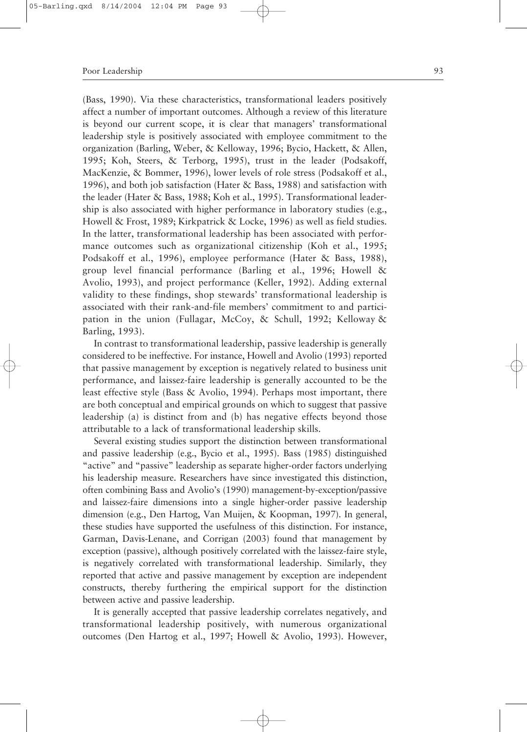(Bass, 1990). Via these characteristics, transformational leaders positively affect a number of important outcomes. Although a review of this literature is beyond our current scope, it is clear that managers' transformational leadership style is positively associated with employee commitment to the organization (Barling, Weber, & Kelloway, 1996; Bycio, Hackett, & Allen, 1995; Koh, Steers, & Terborg, 1995), trust in the leader (Podsakoff, MacKenzie, & Bommer, 1996), lower levels of role stress (Podsakoff et al., 1996), and both job satisfaction (Hater & Bass, 1988) and satisfaction with the leader (Hater & Bass, 1988; Koh et al., 1995). Transformational leadership is also associated with higher performance in laboratory studies (e.g., Howell & Frost, 1989; Kirkpatrick & Locke, 1996) as well as field studies. In the latter, transformational leadership has been associated with performance outcomes such as organizational citizenship (Koh et al., 1995; Podsakoff et al., 1996), employee performance (Hater & Bass, 1988), group level financial performance (Barling et al., 1996; Howell & Avolio, 1993), and project performance (Keller, 1992). Adding external validity to these findings, shop stewards' transformational leadership is associated with their rank-and-file members' commitment to and participation in the union (Fullagar, McCoy, & Schull, 1992; Kelloway & Barling, 1993).

In contrast to transformational leadership, passive leadership is generally considered to be ineffective. For instance, Howell and Avolio (1993) reported that passive management by exception is negatively related to business unit performance, and laissez-faire leadership is generally accounted to be the least effective style (Bass & Avolio, 1994). Perhaps most important, there are both conceptual and empirical grounds on which to suggest that passive leadership (a) is distinct from and (b) has negative effects beyond those attributable to a lack of transformational leadership skills.

Several existing studies support the distinction between transformational and passive leadership (e.g., Bycio et al., 1995). Bass (1985) distinguished "active" and "passive" leadership as separate higher-order factors underlying his leadership measure. Researchers have since investigated this distinction, often combining Bass and Avolio's (1990) management-by-exception/passive and laissez-faire dimensions into a single higher-order passive leadership dimension (e.g., Den Hartog, Van Muijen, & Koopman, 1997). In general, these studies have supported the usefulness of this distinction. For instance, Garman, Davis-Lenane, and Corrigan (2003) found that management by exception (passive), although positively correlated with the laissez-faire style, is negatively correlated with transformational leadership. Similarly, they reported that active and passive management by exception are independent constructs, thereby furthering the empirical support for the distinction between active and passive leadership.

It is generally accepted that passive leadership correlates negatively, and transformational leadership positively, with numerous organizational outcomes (Den Hartog et al., 1997; Howell & Avolio, 1993). However,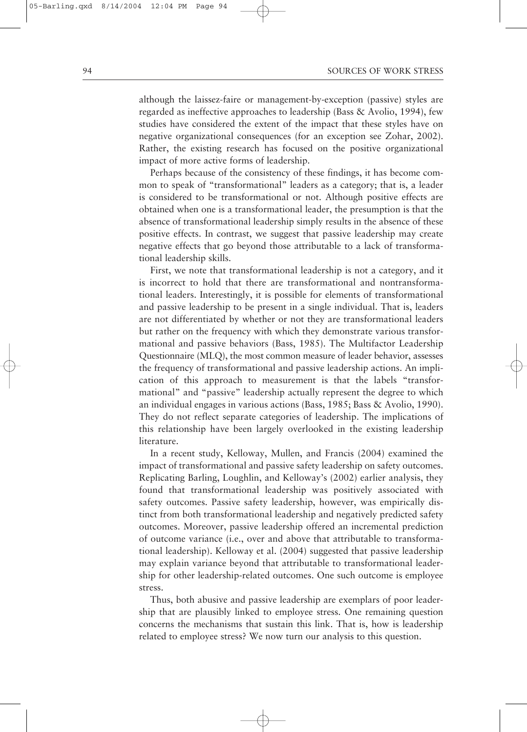although the laissez-faire or management-by-exception (passive) styles are regarded as ineffective approaches to leadership (Bass & Avolio, 1994), few studies have considered the extent of the impact that these styles have on negative organizational consequences (for an exception see Zohar, 2002). Rather, the existing research has focused on the positive organizational impact of more active forms of leadership.

Perhaps because of the consistency of these findings, it has become common to speak of "transformational" leaders as a category; that is, a leader is considered to be transformational or not. Although positive effects are obtained when one is a transformational leader, the presumption is that the absence of transformational leadership simply results in the absence of these positive effects. In contrast, we suggest that passive leadership may create negative effects that go beyond those attributable to a lack of transformational leadership skills.

First, we note that transformational leadership is not a category, and it is incorrect to hold that there are transformational and nontransformational leaders. Interestingly, it is possible for elements of transformational and passive leadership to be present in a single individual. That is, leaders are not differentiated by whether or not they are transformational leaders but rather on the frequency with which they demonstrate various transformational and passive behaviors (Bass, 1985). The Multifactor Leadership Questionnaire (MLQ), the most common measure of leader behavior, assesses the frequency of transformational and passive leadership actions. An implication of this approach to measurement is that the labels "transformational" and "passive" leadership actually represent the degree to which an individual engages in various actions (Bass, 1985; Bass & Avolio, 1990). They do not reflect separate categories of leadership. The implications of this relationship have been largely overlooked in the existing leadership literature.

In a recent study, Kelloway, Mullen, and Francis (2004) examined the impact of transformational and passive safety leadership on safety outcomes. Replicating Barling, Loughlin, and Kelloway's (2002) earlier analysis, they found that transformational leadership was positively associated with safety outcomes. Passive safety leadership, however, was empirically distinct from both transformational leadership and negatively predicted safety outcomes. Moreover, passive leadership offered an incremental prediction of outcome variance (i.e., over and above that attributable to transformational leadership). Kelloway et al. (2004) suggested that passive leadership may explain variance beyond that attributable to transformational leadership for other leadership-related outcomes. One such outcome is employee stress.

Thus, both abusive and passive leadership are exemplars of poor leadership that are plausibly linked to employee stress. One remaining question concerns the mechanisms that sustain this link. That is, how is leadership related to employee stress? We now turn our analysis to this question.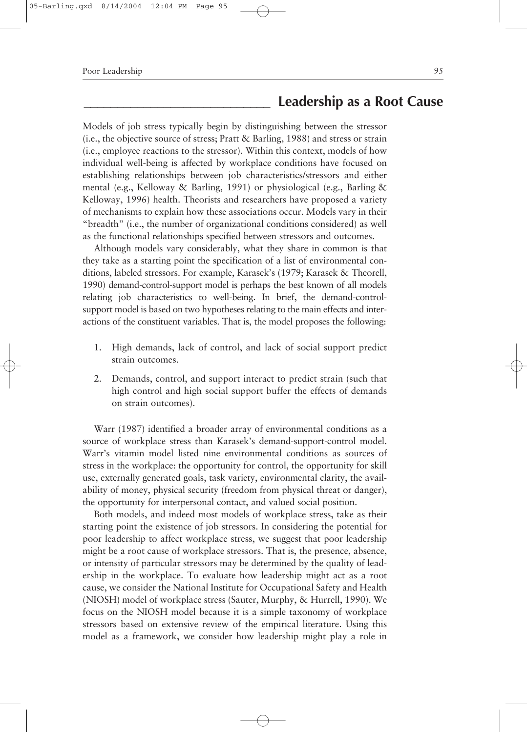# **\_\_\_\_\_\_\_\_\_\_\_\_\_\_\_\_\_\_\_\_\_\_\_\_\_\_\_\_ Leadership as a Root Cause**

Models of job stress typically begin by distinguishing between the stressor (i.e., the objective source of stress; Pratt & Barling, 1988) and stress or strain (i.e., employee reactions to the stressor). Within this context, models of how individual well-being is affected by workplace conditions have focused on establishing relationships between job characteristics/stressors and either mental (e.g., Kelloway & Barling, 1991) or physiological (e.g., Barling & Kelloway, 1996) health. Theorists and researchers have proposed a variety of mechanisms to explain how these associations occur. Models vary in their "breadth" (i.e., the number of organizational conditions considered) as well as the functional relationships specified between stressors and outcomes.

Although models vary considerably, what they share in common is that they take as a starting point the specification of a list of environmental conditions, labeled stressors. For example, Karasek's (1979; Karasek & Theorell, 1990) demand-control-support model is perhaps the best known of all models relating job characteristics to well-being. In brief, the demand-controlsupport model is based on two hypotheses relating to the main effects and interactions of the constituent variables. That is, the model proposes the following:

- 1. High demands, lack of control, and lack of social support predict strain outcomes.
- 2. Demands, control, and support interact to predict strain (such that high control and high social support buffer the effects of demands on strain outcomes).

Warr (1987) identified a broader array of environmental conditions as a source of workplace stress than Karasek's demand-support-control model. Warr's vitamin model listed nine environmental conditions as sources of stress in the workplace: the opportunity for control, the opportunity for skill use, externally generated goals, task variety, environmental clarity, the availability of money, physical security (freedom from physical threat or danger), the opportunity for interpersonal contact, and valued social position.

Both models, and indeed most models of workplace stress, take as their starting point the existence of job stressors. In considering the potential for poor leadership to affect workplace stress, we suggest that poor leadership might be a root cause of workplace stressors. That is, the presence, absence, or intensity of particular stressors may be determined by the quality of leadership in the workplace. To evaluate how leadership might act as a root cause, we consider the National Institute for Occupational Safety and Health (NIOSH) model of workplace stress (Sauter, Murphy, & Hurrell, 1990). We focus on the NIOSH model because it is a simple taxonomy of workplace stressors based on extensive review of the empirical literature. Using this model as a framework, we consider how leadership might play a role in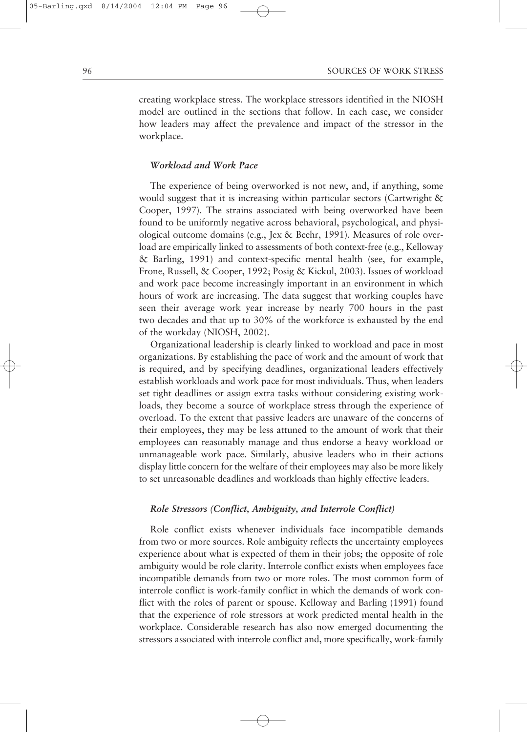creating workplace stress. The workplace stressors identified in the NIOSH model are outlined in the sections that follow. In each case, we consider how leaders may affect the prevalence and impact of the stressor in the workplace.

## *Workload and Work Pace*

The experience of being overworked is not new, and, if anything, some would suggest that it is increasing within particular sectors (Cartwright & Cooper, 1997). The strains associated with being overworked have been found to be uniformly negative across behavioral, psychological, and physiological outcome domains (e.g., Jex & Beehr, 1991). Measures of role overload are empirically linked to assessments of both context-free (e.g., Kelloway & Barling, 1991) and context-specific mental health (see, for example, Frone, Russell, & Cooper, 1992; Posig & Kickul, 2003). Issues of workload and work pace become increasingly important in an environment in which hours of work are increasing. The data suggest that working couples have seen their average work year increase by nearly 700 hours in the past two decades and that up to 30% of the workforce is exhausted by the end of the workday (NIOSH, 2002).

Organizational leadership is clearly linked to workload and pace in most organizations. By establishing the pace of work and the amount of work that is required, and by specifying deadlines, organizational leaders effectively establish workloads and work pace for most individuals. Thus, when leaders set tight deadlines or assign extra tasks without considering existing workloads, they become a source of workplace stress through the experience of overload. To the extent that passive leaders are unaware of the concerns of their employees, they may be less attuned to the amount of work that their employees can reasonably manage and thus endorse a heavy workload or unmanageable work pace. Similarly, abusive leaders who in their actions display little concern for the welfare of their employees may also be more likely to set unreasonable deadlines and workloads than highly effective leaders.

## *Role Stressors (Conflict, Ambiguity, and Interrole Conflict)*

Role conflict exists whenever individuals face incompatible demands from two or more sources. Role ambiguity reflects the uncertainty employees experience about what is expected of them in their jobs; the opposite of role ambiguity would be role clarity. Interrole conflict exists when employees face incompatible demands from two or more roles. The most common form of interrole conflict is work-family conflict in which the demands of work conflict with the roles of parent or spouse. Kelloway and Barling (1991) found that the experience of role stressors at work predicted mental health in the workplace. Considerable research has also now emerged documenting the stressors associated with interrole conflict and, more specifically, work-family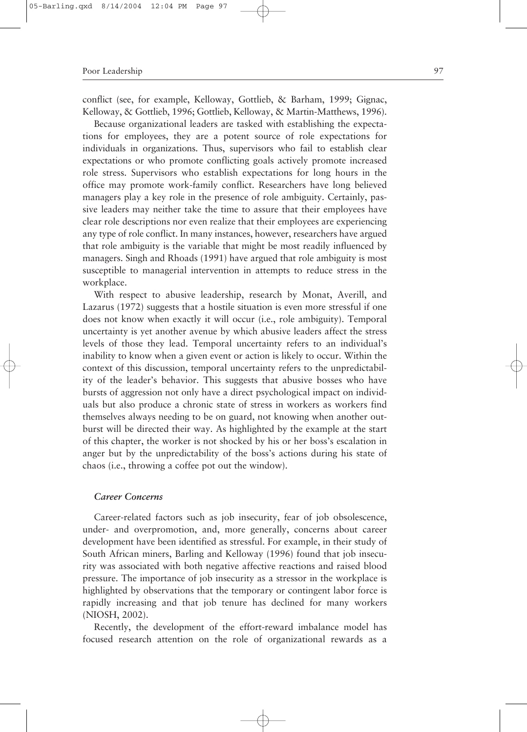conflict (see, for example, Kelloway, Gottlieb, & Barham, 1999; Gignac, Kelloway, & Gottlieb, 1996; Gottlieb, Kelloway, & Martin-Matthews, 1996).

Because organizational leaders are tasked with establishing the expectations for employees, they are a potent source of role expectations for individuals in organizations. Thus, supervisors who fail to establish clear expectations or who promote conflicting goals actively promote increased role stress. Supervisors who establish expectations for long hours in the office may promote work-family conflict. Researchers have long believed managers play a key role in the presence of role ambiguity. Certainly, passive leaders may neither take the time to assure that their employees have clear role descriptions nor even realize that their employees are experiencing any type of role conflict. In many instances, however, researchers have argued that role ambiguity is the variable that might be most readily influenced by managers. Singh and Rhoads (1991) have argued that role ambiguity is most susceptible to managerial intervention in attempts to reduce stress in the workplace.

With respect to abusive leadership, research by Monat, Averill, and Lazarus (1972) suggests that a hostile situation is even more stressful if one does not know when exactly it will occur (i.e., role ambiguity). Temporal uncertainty is yet another avenue by which abusive leaders affect the stress levels of those they lead. Temporal uncertainty refers to an individual's inability to know when a given event or action is likely to occur. Within the context of this discussion, temporal uncertainty refers to the unpredictability of the leader's behavior. This suggests that abusive bosses who have bursts of aggression not only have a direct psychological impact on individuals but also produce a chronic state of stress in workers as workers find themselves always needing to be on guard, not knowing when another outburst will be directed their way. As highlighted by the example at the start of this chapter, the worker is not shocked by his or her boss's escalation in anger but by the unpredictability of the boss's actions during his state of chaos (i.e., throwing a coffee pot out the window).

## *Career Concerns*

Career-related factors such as job insecurity, fear of job obsolescence, under- and overpromotion, and, more generally, concerns about career development have been identified as stressful. For example, in their study of South African miners, Barling and Kelloway (1996) found that job insecurity was associated with both negative affective reactions and raised blood pressure. The importance of job insecurity as a stressor in the workplace is highlighted by observations that the temporary or contingent labor force is rapidly increasing and that job tenure has declined for many workers (NIOSH, 2002).

Recently, the development of the effort-reward imbalance model has focused research attention on the role of organizational rewards as a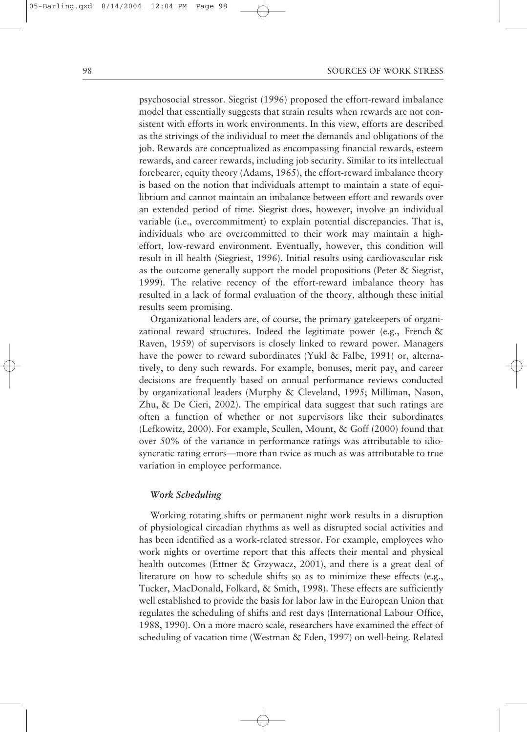psychosocial stressor. Siegrist (1996) proposed the effort-reward imbalance model that essentially suggests that strain results when rewards are not consistent with efforts in work environments. In this view, efforts are described as the strivings of the individual to meet the demands and obligations of the job. Rewards are conceptualized as encompassing financial rewards, esteem rewards, and career rewards, including job security. Similar to its intellectual forebearer, equity theory (Adams, 1965), the effort-reward imbalance theory is based on the notion that individuals attempt to maintain a state of equilibrium and cannot maintain an imbalance between effort and rewards over an extended period of time. Siegrist does, however, involve an individual variable (i.e., overcommitment) to explain potential discrepancies. That is, individuals who are overcommitted to their work may maintain a higheffort, low-reward environment. Eventually, however, this condition will result in ill health (Siegriest, 1996). Initial results using cardiovascular risk as the outcome generally support the model propositions (Peter & Siegrist, 1999). The relative recency of the effort-reward imbalance theory has resulted in a lack of formal evaluation of the theory, although these initial results seem promising.

Organizational leaders are, of course, the primary gatekeepers of organizational reward structures. Indeed the legitimate power (e.g., French & Raven, 1959) of supervisors is closely linked to reward power. Managers have the power to reward subordinates (Yukl & Falbe, 1991) or, alternatively, to deny such rewards. For example, bonuses, merit pay, and career decisions are frequently based on annual performance reviews conducted by organizational leaders (Murphy & Cleveland, 1995; Milliman, Nason, Zhu, & De Cieri, 2002). The empirical data suggest that such ratings are often a function of whether or not supervisors like their subordinates (Lefkowitz, 2000). For example, Scullen, Mount, & Goff (2000) found that over 50% of the variance in performance ratings was attributable to idiosyncratic rating errors—more than twice as much as was attributable to true variation in employee performance.

## *Work Scheduling*

Working rotating shifts or permanent night work results in a disruption of physiological circadian rhythms as well as disrupted social activities and has been identified as a work-related stressor. For example, employees who work nights or overtime report that this affects their mental and physical health outcomes (Ettner & Grzywacz, 2001), and there is a great deal of literature on how to schedule shifts so as to minimize these effects (e.g., Tucker, MacDonald, Folkard, & Smith, 1998). These effects are sufficiently well established to provide the basis for labor law in the European Union that regulates the scheduling of shifts and rest days (International Labour Office, 1988, 1990). On a more macro scale, researchers have examined the effect of scheduling of vacation time (Westman & Eden, 1997) on well-being. Related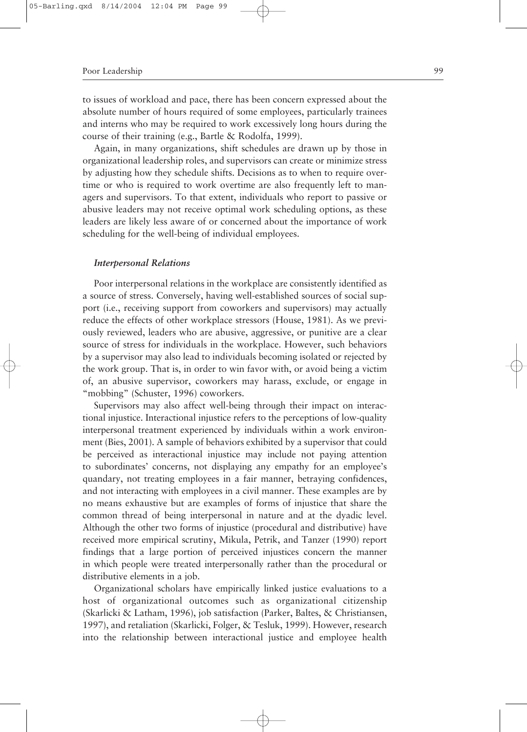to issues of workload and pace, there has been concern expressed about the absolute number of hours required of some employees, particularly trainees and interns who may be required to work excessively long hours during the course of their training (e.g., Bartle & Rodolfa, 1999).

Again, in many organizations, shift schedules are drawn up by those in organizational leadership roles, and supervisors can create or minimize stress by adjusting how they schedule shifts. Decisions as to when to require overtime or who is required to work overtime are also frequently left to managers and supervisors. To that extent, individuals who report to passive or abusive leaders may not receive optimal work scheduling options, as these leaders are likely less aware of or concerned about the importance of work scheduling for the well-being of individual employees.

#### *Interpersonal Relations*

Poor interpersonal relations in the workplace are consistently identified as a source of stress. Conversely, having well-established sources of social support (i.e., receiving support from coworkers and supervisors) may actually reduce the effects of other workplace stressors (House, 1981). As we previously reviewed, leaders who are abusive, aggressive, or punitive are a clear source of stress for individuals in the workplace. However, such behaviors by a supervisor may also lead to individuals becoming isolated or rejected by the work group. That is, in order to win favor with, or avoid being a victim of, an abusive supervisor, coworkers may harass, exclude, or engage in "mobbing" (Schuster, 1996) coworkers.

Supervisors may also affect well-being through their impact on interactional injustice. Interactional injustice refers to the perceptions of low-quality interpersonal treatment experienced by individuals within a work environment (Bies, 2001). A sample of behaviors exhibited by a supervisor that could be perceived as interactional injustice may include not paying attention to subordinates' concerns, not displaying any empathy for an employee's quandary, not treating employees in a fair manner, betraying confidences, and not interacting with employees in a civil manner. These examples are by no means exhaustive but are examples of forms of injustice that share the common thread of being interpersonal in nature and at the dyadic level. Although the other two forms of injustice (procedural and distributive) have received more empirical scrutiny, Mikula, Petrik, and Tanzer (1990) report findings that a large portion of perceived injustices concern the manner in which people were treated interpersonally rather than the procedural or distributive elements in a job.

Organizational scholars have empirically linked justice evaluations to a host of organizational outcomes such as organizational citizenship (Skarlicki & Latham, 1996), job satisfaction (Parker, Baltes, & Christiansen, 1997), and retaliation (Skarlicki, Folger, & Tesluk, 1999). However, research into the relationship between interactional justice and employee health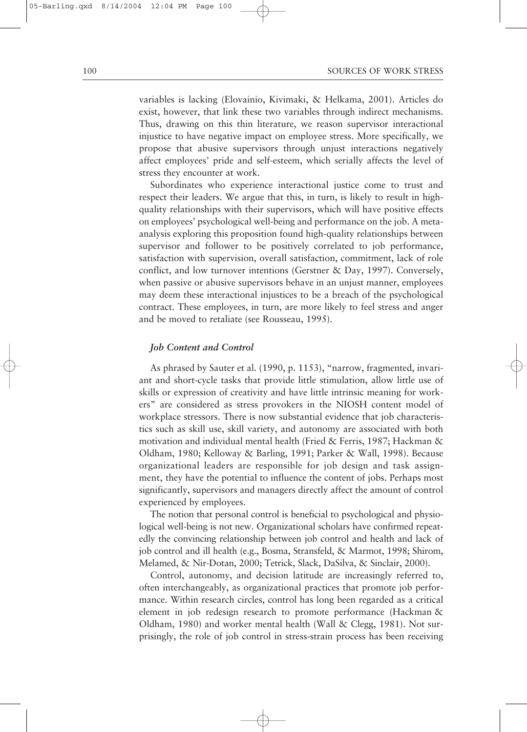variables is lacking (Elovainio, Kivimaki, & Helkama, 2001). Articles do exist, however, that link these two variables through indirect mechanisms. Thus, drawing on this thin literature, we reason supervisor interactional injustice to have negative impact on employee stress. More specifically, we propose that abusive supervisors through unjust interactions negatively affect employees' pride and self-esteem, which serially affects the level of stress they encounter at work.

Subordinates who experience interactional justice come to trust and respect their leaders. We argue that this, in turn, is likely to result in highquality relationships with their supervisors, which will have positive effects on employees' psychological well-being and performance on the job. A metaanalysis exploring this proposition found high-quality relationships between supervisor and follower to be positively correlated to job performance, satisfaction with supervision, overall satisfaction, commitment, lack of role conflict, and low turnover intentions (Gerstner & Day, 1997). Conversely, when passive or abusive supervisors behave in an unjust manner, employees may deem these interactional injustices to be a breach of the psychological contract. These employees, in turn, are more likely to feel stress and anger and be moved to retaliate (see Rousseau, 1995).

## *Job Content and Control*

As phrased by Sauter et al. (1990, p. 1153), "narrow, fragmented, invariant and short-cycle tasks that provide little stimulation, allow little use of skills or expression of creativity and have little intrinsic meaning for workers" are considered as stress provokers in the NIOSH content model of workplace stressors. There is now substantial evidence that job characteristics such as skill use, skill variety, and autonomy are associated with both motivation and individual mental health (Fried & Ferris, 1987; Hackman & Oldham, 1980; Kelloway & Barling, 1991; Parker & Wall, 1998). Because organizational leaders are responsible for job design and task assignment, they have the potential to influence the content of jobs. Perhaps most significantly, supervisors and managers directly affect the amount of control experienced by employees.

The notion that personal control is beneficial to psychological and physiological well-being is not new. Organizational scholars have confirmed repeatedly the convincing relationship between job control and health and lack of job control and ill health (e.g., Bosma, Stransfeld, & Marmot, 1998; Shirom, Melamed, & Nir-Dotan, 2000; Tetrick, Slack, DaSilva, & Sinclair, 2000).

Control, autonomy, and decision latitude are increasingly referred to, often interchangeably, as organizational practices that promote job performance. Within research circles, control has long been regarded as a critical element in job redesign research to promote performance (Hackman & Oldham, 1980) and worker mental health (Wall & Clegg, 1981). Not surprisingly, the role of job control in stress-strain process has been receiving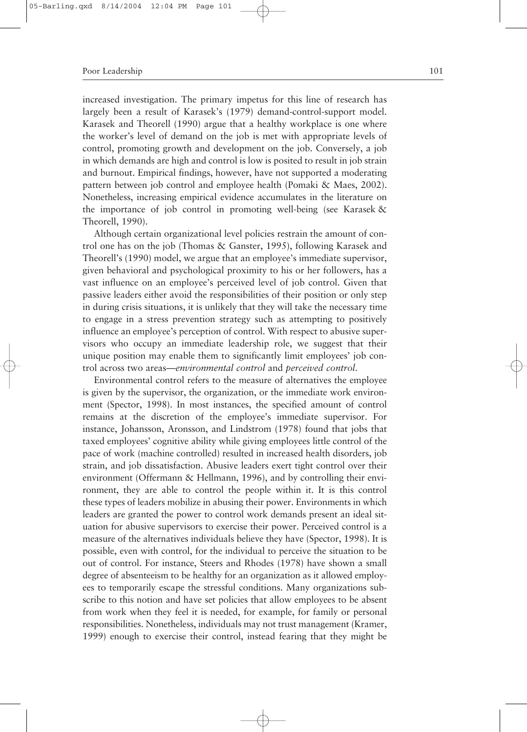increased investigation. The primary impetus for this line of research has largely been a result of Karasek's (1979) demand-control-support model. Karasek and Theorell (1990) argue that a healthy workplace is one where the worker's level of demand on the job is met with appropriate levels of control, promoting growth and development on the job. Conversely, a job in which demands are high and control is low is posited to result in job strain and burnout. Empirical findings, however, have not supported a moderating pattern between job control and employee health (Pomaki & Maes, 2002). Nonetheless, increasing empirical evidence accumulates in the literature on the importance of job control in promoting well-being (see Karasek & Theorell, 1990).

Although certain organizational level policies restrain the amount of control one has on the job (Thomas & Ganster, 1995), following Karasek and Theorell's (1990) model, we argue that an employee's immediate supervisor, given behavioral and psychological proximity to his or her followers, has a vast influence on an employee's perceived level of job control. Given that passive leaders either avoid the responsibilities of their position or only step in during crisis situations, it is unlikely that they will take the necessary time to engage in a stress prevention strategy such as attempting to positively influence an employee's perception of control. With respect to abusive supervisors who occupy an immediate leadership role, we suggest that their unique position may enable them to significantly limit employees' job control across two areas—*environmental control* and *perceived control*.

Environmental control refers to the measure of alternatives the employee is given by the supervisor, the organization, or the immediate work environment (Spector, 1998). In most instances, the specified amount of control remains at the discretion of the employee's immediate supervisor. For instance, Johansson, Aronsson, and Lindstrom (1978) found that jobs that taxed employees' cognitive ability while giving employees little control of the pace of work (machine controlled) resulted in increased health disorders, job strain, and job dissatisfaction. Abusive leaders exert tight control over their environment (Offermann & Hellmann, 1996), and by controlling their environment, they are able to control the people within it. It is this control these types of leaders mobilize in abusing their power. Environments in which leaders are granted the power to control work demands present an ideal situation for abusive supervisors to exercise their power. Perceived control is a measure of the alternatives individuals believe they have (Spector, 1998). It is possible, even with control, for the individual to perceive the situation to be out of control. For instance, Steers and Rhodes (1978) have shown a small degree of absenteeism to be healthy for an organization as it allowed employees to temporarily escape the stressful conditions. Many organizations subscribe to this notion and have set policies that allow employees to be absent from work when they feel it is needed, for example, for family or personal responsibilities. Nonetheless, individuals may not trust management (Kramer, 1999) enough to exercise their control, instead fearing that they might be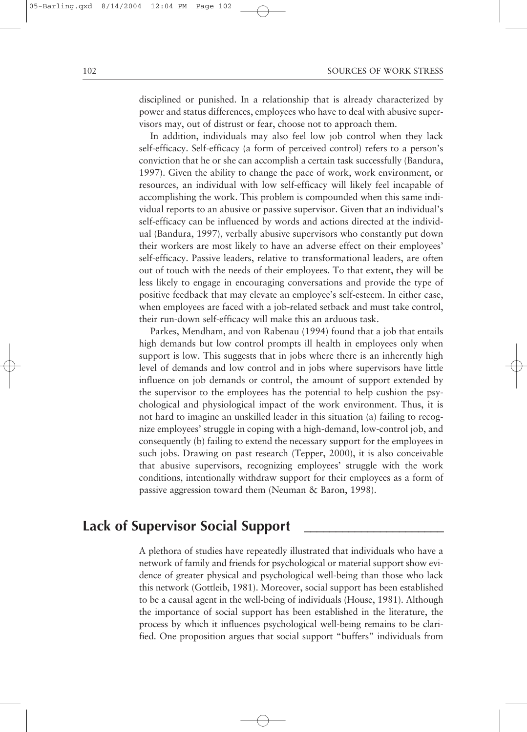disciplined or punished. In a relationship that is already characterized by power and status differences, employees who have to deal with abusive supervisors may, out of distrust or fear, choose not to approach them.

In addition, individuals may also feel low job control when they lack self-efficacy. Self-efficacy (a form of perceived control) refers to a person's conviction that he or she can accomplish a certain task successfully (Bandura, 1997). Given the ability to change the pace of work, work environment, or resources, an individual with low self-efficacy will likely feel incapable of accomplishing the work. This problem is compounded when this same individual reports to an abusive or passive supervisor. Given that an individual's self-efficacy can be influenced by words and actions directed at the individual (Bandura, 1997), verbally abusive supervisors who constantly put down their workers are most likely to have an adverse effect on their employees' self-efficacy. Passive leaders, relative to transformational leaders, are often out of touch with the needs of their employees. To that extent, they will be less likely to engage in encouraging conversations and provide the type of positive feedback that may elevate an employee's self-esteem. In either case, when employees are faced with a job-related setback and must take control, their run-down self-efficacy will make this an arduous task.

Parkes, Mendham, and von Rabenau (1994) found that a job that entails high demands but low control prompts ill health in employees only when support is low. This suggests that in jobs where there is an inherently high level of demands and low control and in jobs where supervisors have little influence on job demands or control, the amount of support extended by the supervisor to the employees has the potential to help cushion the psychological and physiological impact of the work environment. Thus, it is not hard to imagine an unskilled leader in this situation (a) failing to recognize employees' struggle in coping with a high-demand, low-control job, and consequently (b) failing to extend the necessary support for the employees in such jobs. Drawing on past research (Tepper, 2000), it is also conceivable that abusive supervisors, recognizing employees' struggle with the work conditions, intentionally withdraw support for their employees as a form of passive aggression toward them (Neuman & Baron, 1998).

# **Lack of Supervisor Social Support \_\_\_\_\_\_\_\_\_\_\_\_\_\_\_\_\_\_\_\_\_\_**

A plethora of studies have repeatedly illustrated that individuals who have a network of family and friends for psychological or material support show evidence of greater physical and psychological well-being than those who lack this network (Gottleib, 1981). Moreover, social support has been established to be a causal agent in the well-being of individuals (House, 1981). Although the importance of social support has been established in the literature, the process by which it influences psychological well-being remains to be clarified. One proposition argues that social support "buffers" individuals from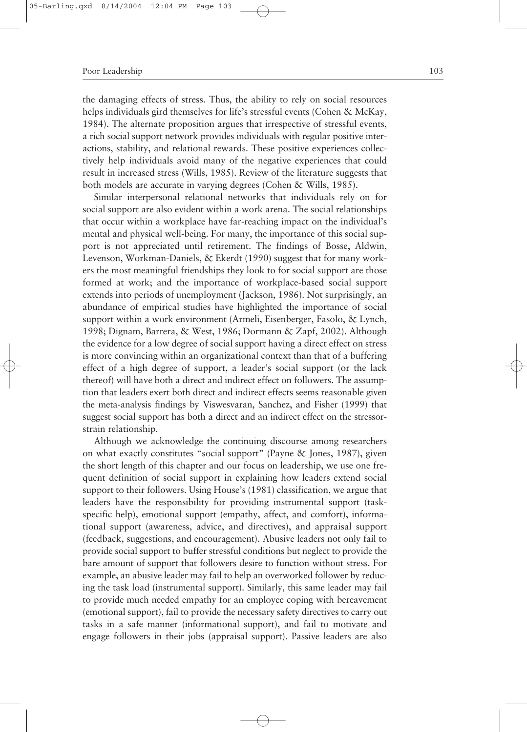the damaging effects of stress. Thus, the ability to rely on social resources helps individuals gird themselves for life's stressful events (Cohen & McKay, 1984). The alternate proposition argues that irrespective of stressful events, a rich social support network provides individuals with regular positive interactions, stability, and relational rewards. These positive experiences collectively help individuals avoid many of the negative experiences that could result in increased stress (Wills, 1985). Review of the literature suggests that both models are accurate in varying degrees (Cohen & Wills, 1985).

Similar interpersonal relational networks that individuals rely on for social support are also evident within a work arena. The social relationships that occur within a workplace have far-reaching impact on the individual's mental and physical well-being. For many, the importance of this social support is not appreciated until retirement. The findings of Bosse, Aldwin, Levenson, Workman-Daniels, & Ekerdt (1990) suggest that for many workers the most meaningful friendships they look to for social support are those formed at work; and the importance of workplace-based social support extends into periods of unemployment (Jackson, 1986). Not surprisingly, an abundance of empirical studies have highlighted the importance of social support within a work environment (Armeli, Eisenberger, Fasolo, & Lynch, 1998; Dignam, Barrera, & West, 1986; Dormann & Zapf, 2002). Although the evidence for a low degree of social support having a direct effect on stress is more convincing within an organizational context than that of a buffering effect of a high degree of support, a leader's social support (or the lack thereof) will have both a direct and indirect effect on followers. The assumption that leaders exert both direct and indirect effects seems reasonable given the meta-analysis findings by Viswesvaran, Sanchez, and Fisher (1999) that suggest social support has both a direct and an indirect effect on the stressorstrain relationship.

Although we acknowledge the continuing discourse among researchers on what exactly constitutes "social support" (Payne & Jones, 1987), given the short length of this chapter and our focus on leadership, we use one frequent definition of social support in explaining how leaders extend social support to their followers. Using House's (1981) classification, we argue that leaders have the responsibility for providing instrumental support (taskspecific help), emotional support (empathy, affect, and comfort), informational support (awareness, advice, and directives), and appraisal support (feedback, suggestions, and encouragement). Abusive leaders not only fail to provide social support to buffer stressful conditions but neglect to provide the bare amount of support that followers desire to function without stress. For example, an abusive leader may fail to help an overworked follower by reducing the task load (instrumental support). Similarly, this same leader may fail to provide much needed empathy for an employee coping with bereavement (emotional support), fail to provide the necessary safety directives to carry out tasks in a safe manner (informational support), and fail to motivate and engage followers in their jobs (appraisal support). Passive leaders are also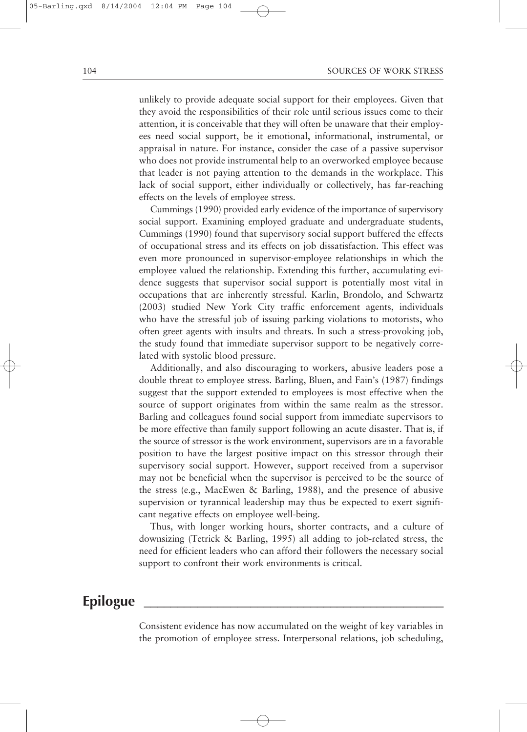unlikely to provide adequate social support for their employees. Given that they avoid the responsibilities of their role until serious issues come to their attention, it is conceivable that they will often be unaware that their employees need social support, be it emotional, informational, instrumental, or appraisal in nature. For instance, consider the case of a passive supervisor who does not provide instrumental help to an overworked employee because that leader is not paying attention to the demands in the workplace. This lack of social support, either individually or collectively, has far-reaching effects on the levels of employee stress.

Cummings (1990) provided early evidence of the importance of supervisory social support. Examining employed graduate and undergraduate students, Cummings (1990) found that supervisory social support buffered the effects of occupational stress and its effects on job dissatisfaction. This effect was even more pronounced in supervisor-employee relationships in which the employee valued the relationship. Extending this further, accumulating evidence suggests that supervisor social support is potentially most vital in occupations that are inherently stressful. Karlin, Brondolo, and Schwartz (2003) studied New York City traffic enforcement agents, individuals who have the stressful job of issuing parking violations to motorists, who often greet agents with insults and threats. In such a stress-provoking job, the study found that immediate supervisor support to be negatively correlated with systolic blood pressure.

Additionally, and also discouraging to workers, abusive leaders pose a double threat to employee stress. Barling, Bluen, and Fain's (1987) findings suggest that the support extended to employees is most effective when the source of support originates from within the same realm as the stressor. Barling and colleagues found social support from immediate supervisors to be more effective than family support following an acute disaster. That is, if the source of stressor is the work environment, supervisors are in a favorable position to have the largest positive impact on this stressor through their supervisory social support. However, support received from a supervisor may not be beneficial when the supervisor is perceived to be the source of the stress (e.g., MacEwen & Barling, 1988), and the presence of abusive supervision or tyrannical leadership may thus be expected to exert significant negative effects on employee well-being.

Thus, with longer working hours, shorter contracts, and a culture of downsizing (Tetrick & Barling, 1995) all adding to job-related stress, the need for efficient leaders who can afford their followers the necessary social support to confront their work environments is critical.

# **Epilogue \_\_\_\_\_\_\_\_\_\_\_\_\_\_\_\_\_\_\_\_\_\_\_\_\_\_\_\_\_\_\_\_\_\_\_\_\_\_\_\_\_\_\_\_\_**

Consistent evidence has now accumulated on the weight of key variables in the promotion of employee stress. Interpersonal relations, job scheduling,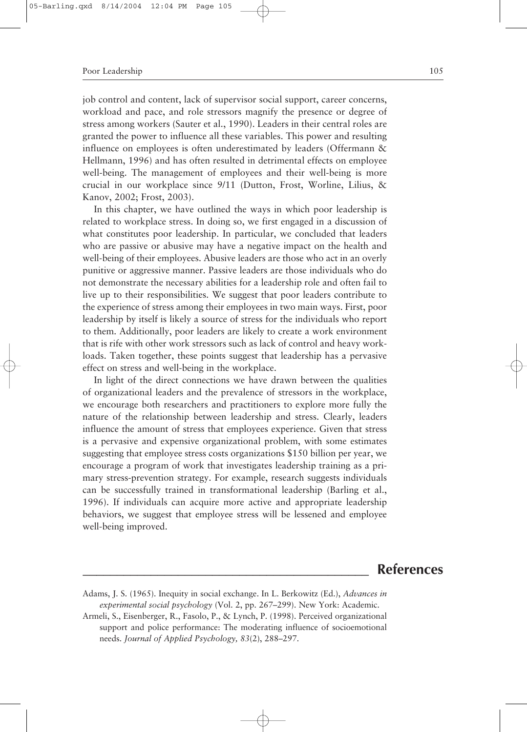job control and content, lack of supervisor social support, career concerns, workload and pace, and role stressors magnify the presence or degree of stress among workers (Sauter et al., 1990). Leaders in their central roles are granted the power to influence all these variables. This power and resulting influence on employees is often underestimated by leaders (Offermann & Hellmann, 1996) and has often resulted in detrimental effects on employee well-being. The management of employees and their well-being is more crucial in our workplace since 9/11 (Dutton, Frost, Worline, Lilius, & Kanov, 2002; Frost, 2003).

In this chapter, we have outlined the ways in which poor leadership is related to workplace stress. In doing so, we first engaged in a discussion of what constitutes poor leadership. In particular, we concluded that leaders who are passive or abusive may have a negative impact on the health and well-being of their employees. Abusive leaders are those who act in an overly punitive or aggressive manner. Passive leaders are those individuals who do not demonstrate the necessary abilities for a leadership role and often fail to live up to their responsibilities. We suggest that poor leaders contribute to the experience of stress among their employees in two main ways. First, poor leadership by itself is likely a source of stress for the individuals who report to them. Additionally, poor leaders are likely to create a work environment that is rife with other work stressors such as lack of control and heavy workloads. Taken together, these points suggest that leadership has a pervasive effect on stress and well-being in the workplace.

In light of the direct connections we have drawn between the qualities of organizational leaders and the prevalence of stressors in the workplace, we encourage both researchers and practitioners to explore more fully the nature of the relationship between leadership and stress. Clearly, leaders influence the amount of stress that employees experience. Given that stress is a pervasive and expensive organizational problem, with some estimates suggesting that employee stress costs organizations \$150 billion per year, we encourage a program of work that investigates leadership training as a primary stress-prevention strategy. For example, research suggests individuals can be successfully trained in transformational leadership (Barling et al., 1996). If individuals can acquire more active and appropriate leadership behaviors, we suggest that employee stress will be lessened and employee well-being improved.

# **\_\_\_\_\_\_\_\_\_\_\_\_\_\_\_\_\_\_\_\_\_\_\_\_\_\_\_\_\_\_\_\_\_\_\_\_\_\_\_\_\_\_ References**

Adams, J. S. (1965). Inequity in social exchange. In L. Berkowitz (Ed.), *Advances in experimental social psychology* (Vol. 2, pp. 267–299). New York: Academic.

Armeli, S., Eisenberger, R., Fasolo, P., & Lynch, P. (1998). Perceived organizational support and police performance: The moderating influence of socioemotional needs. *Journal of Applied Psychology, 83*(2), 288–297.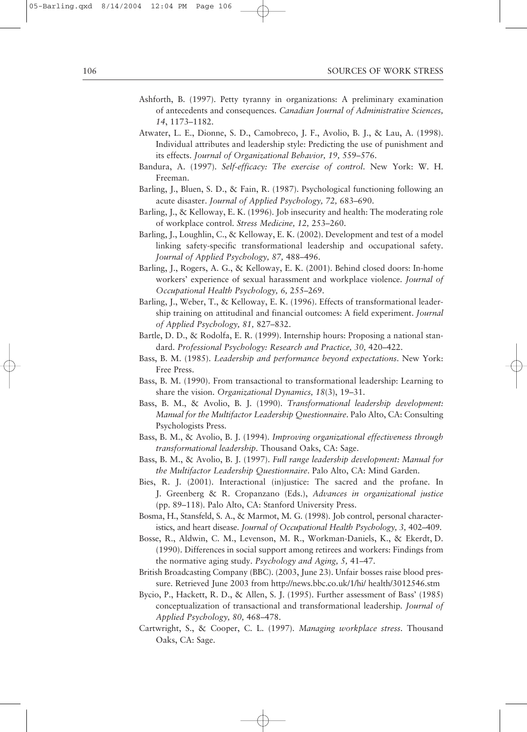- Ashforth, B. (1997). Petty tyranny in organizations: A preliminary examination of antecedents and consequences. *Canadian Journal of Administrative Sciences, 14*, 1173–1182.
- Atwater, L. E., Dionne, S. D., Camobreco, J. F., Avolio, B. J., & Lau, A. (1998). Individual attributes and leadership style: Predicting the use of punishment and its effects. *Journal of Organizational Behavior, 19,* 559–576.
- Bandura, A. (1997). *Self-efficacy: The exercise of control*. New York: W. H. Freeman.
- Barling, J., Bluen, S. D., & Fain, R. (1987). Psychological functioning following an acute disaster. *Journal of Applied Psychology, 72,* 683–690.
- Barling, J., & Kelloway, E. K. (1996). Job insecurity and health: The moderating role of workplace control. *Stress Medicine, 12,* 253–260.
- Barling, J., Loughlin, C., & Kelloway, E. K. (2002). Development and test of a model linking safety-specific transformational leadership and occupational safety. *Journal of Applied Psychology, 87,* 488–496.
- Barling, J., Rogers, A. G., & Kelloway, E. K. (2001). Behind closed doors: In-home workers' experience of sexual harassment and workplace violence. *Journal of Occupational Health Psychology, 6,* 255–269.
- Barling, J., Weber, T., & Kelloway, E. K. (1996). Effects of transformational leadership training on attitudinal and financial outcomes: A field experiment. *Journal of Applied Psychology, 81,* 827–832.
- Bartle, D. D., & Rodolfa, E. R. (1999). Internship hours: Proposing a national standard. *Professional Psychology: Research and Practice, 30,* 420–422.
- Bass, B. M. (1985). *Leadership and performance beyond expectations*. New York: Free Press.
- Bass, B. M. (1990). From transactional to transformational leadership: Learning to share the vision. *Organizational Dynamics, 18*(3), 19–31.
- Bass, B. M., & Avolio, B. J. (1990). *Transformational leadership development: Manual for the Multifactor Leadership Questionnaire*. Palo Alto, CA: Consulting Psychologists Press.
- Bass, B. M., & Avolio, B. J. (1994). *Improving organizational effectiveness through transformational leadership.* Thousand Oaks, CA: Sage.
- Bass, B. M., & Avolio, B. J. (1997). *Full range leadership development: Manual for the Multifactor Leadership Questionnaire*. Palo Alto, CA: Mind Garden.
- Bies, R. J. (2001). Interactional (in)justice: The sacred and the profane. In J. Greenberg & R. Cropanzano (Eds.), *Advances in organizational justice* (pp. 89–118). Palo Alto, CA: Stanford University Press.
- Bosma, H., Stansfeld, S. A., & Marmot, M. G. (1998). Job control, personal characteristics, and heart disease. *Journal of Occupational Health Psychology, 3,* 402–409.
- Bosse, R., Aldwin, C. M., Levenson, M. R., Workman-Daniels, K., & Ekerdt, D. (1990). Differences in social support among retirees and workers: Findings from the normative aging study. *Psychology and Aging, 5,* 41–47.
- British Broadcasting Company (BBC). (2003, June 23). Unfair bosses raise blood pressure. Retrieved June 2003 from http://news.bbc.co.uk/1/hi/ health/3012546.stm
- Bycio, P., Hackett, R. D., & Allen, S. J. (1995). Further assessment of Bass' (1985) conceptualization of transactional and transformational leadership*. Journal of Applied Psychology, 80,* 468–478.
- Cartwright, S., & Cooper, C. L. (1997). *Managing workplace stress.* Thousand Oaks, CA: Sage.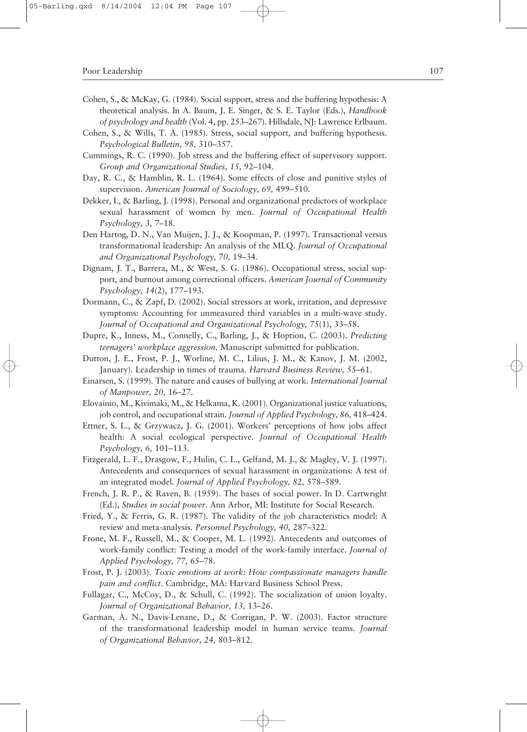- Cohen, S., & McKay, G. (1984). Social support, stress and the buffering hypothesis: A theoretical analysis. In A. Baum, J. E. Singer, & S. E. Taylor (Eds.), *Handbook of psychology and health* (Vol. 4, pp. 253–267). Hillsdale, NJ: Lawrence Erlbaum.
- Cohen, S., & Wills, T. A. (1985). Stress, social support, and buffering hypothesis. *Psychological Bulletin, 98,* 310–357.
- Cummings, R. C. (1990). Job stress and the buffering effect of supervisory support. *Group and Organizational Studies, 15,* 92–104.
- Day, R. C., & Hamblin, R. L. (1964). Some effects of close and punitive styles of supervision. *American Journal of Sociology, 69,* 499–510.
- Dekker, I., & Barling, J. (1998). Personal and organizational predictors of workplace sexual harassment of women by men. *Journal of Occupational Health Psychology, 3,* 7–18.
- Den Hartog, D. N., Van Muijen, J. J., & Koopman, P. (1997). Transactional versus transformational leadership: An analysis of the MLQ. *Journal of Occupational and Organizational Psychology, 70,* 19–34.
- Dignam, J. T., Barrera, M., & West, S. G. (1986). Occupational stress, social support, and burnout among correctional officers. *American Journal of Community Psychology, 14*(2), 177–193.
- Dormann, C., & Zapf, D. (2002). Social stressors at work, irritation, and depressive symptoms: Accounting for unmeasured third variables in a multi-wave study. *Journal of Occupational and Organizational Psychology, 75*(1), 33–58.
- Dupre, K., Inness, M., Connelly, C., Barling, J., & Hoption, C. (2003). *Predicting teenagers' workplace aggression*. Manuscript submitted for publication.
- Dutton, J. E., Frost, P. J., Worline, M. C., Lilius, J. M., & Kanov, J. M. (2002, January). Leadership in times of trauma. *Harvard Business Review,* 55–61.
- Einarsen, S. (1999). The nature and causes of bullying at work. *International Journal of Manpower, 20,* 16–27.
- Elovainio, M., Kivimaki, M., & Helkama, K. (2001). Organizational justice valuations, job control, and occupational strain*. Journal of Applied Psychology, 86,* 418–424.
- Ettner, S. L., & Grzywacz, J. G. (2001). Workers' perceptions of how jobs affect health: A social ecological perspective. *Journal of Occupational Health Psychology, 6,* 101–113.
- Fitzgerald, L. F., Drasgow, F., Hulin, C. L., Gelfand, M. J., & Magley, V. J. (1997). Antecedents and consequences of sexual harassment in organizations: A test of an integrated model. *Journal of Applied Psychology, 82,* 578–589.
- French, J. R. P., & Raven, B. (1959). The bases of social power. In D. Cartwright (Ed.), *Studies in social power*. Ann Arbor, MI: Institute for Social Research.
- Fried, Y., & Ferris, G. R. (1987). The validity of the job characteristics model: A review and meta-analysis. *Personnel Psychology, 40,* 287–322.
- Frone, M. F., Russell, M., & Cooper, M. L. (1992). Antecedents and outcomes of work-family conflict: Testing a model of the work-family interface. *Journal of Applied Psychology, 77,* 65–78.
- Frost, P. J. (2003). *Toxic emotions at work: How compassionate managers handle pain and conflict*. Cambridge, MA: Harvard Business School Press.
- Fullagar, C., McCoy, D., & Schull, C. (1992). The socialization of union loyalty. *Journal of Organizational Behavior, 13,* 13–26.
- Garman, A. N., Davis-Lenane, D., & Corrigan, P. W. (2003). Factor structure of the transformational leadership model in human service teams. *Journal of Organizational Behavior, 24,* 803–812.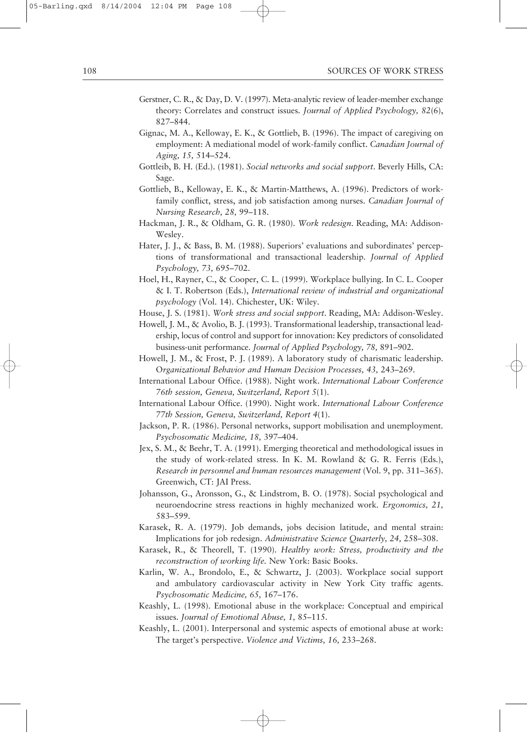| 05-Barling.qxd 8/14/2004 12:04 PM Page 108 |  |  |  |  |
|--------------------------------------------|--|--|--|--|
|--------------------------------------------|--|--|--|--|

- Gerstner, C. R., & Day, D. V. (1997). Meta-analytic review of leader-member exchange theory: Correlates and construct issues. *Journal of Applied Psychology, 82*(6), 827–844.
- Gignac, M. A., Kelloway, E. K., & Gottlieb, B. (1996). The impact of caregiving on employment: A mediational model of work-family conflict. *Canadian Journal of Aging, 15,* 514–524.
- Gottleib, B. H. (Ed.). (1981). *Social networks and social support*. Beverly Hills, CA: Sage.
- Gottlieb, B., Kelloway, E. K., & Martin-Matthews, A. (1996). Predictors of workfamily conflict, stress, and job satisfaction among nurses. *Canadian Journal of Nursing Research, 28,* 99–118.
- Hackman, J. R., & Oldham, G. R. (1980). *Work redesign*. Reading, MA: Addison-Wesley.
- Hater, J. J., & Bass, B. M. (1988). Superiors' evaluations and subordinates' perceptions of transformational and transactional leadership. *Journal of Applied Psychology, 73,* 695–702.
- Hoel, H., Rayner, C., & Cooper, C. L. (1999). Workplace bullying. In C. L. Cooper & I. T. Robertson (Eds.), *International review of industrial and organizational psychology* (Vol. 14). Chichester, UK: Wiley.
- House, J. S. (1981). *Work stress and social support*. Reading, MA: Addison-Wesley.
- Howell, J. M., & Avolio, B. J. (1993). Transformational leadership, transactional leadership, locus of control and support for innovation: Key predictors of consolidated business-unit performance. *Journal of Applied Psychology, 78,* 891–902.
- Howell, J. M., & Frost, P. J. (1989). A laboratory study of charismatic leadership. O*rganizational Behavior and Human Decision Processes, 43,* 243–269.
- International Labour Office. (1988). Night work. *International Labour Conference 76th session, Geneva, Switzerland, Report 5*(1).
- International Labour Office. (1990). Night work. *International Labour Conference 77th Session, Geneva, Switzerland, Report 4*(1).
- Jackson, P. R. (1986). Personal networks, support mobilisation and unemployment*. Psychosomatic Medicine, 18,* 397–404.
- Jex, S. M., & Beehr, T. A. (1991). Emerging theoretical and methodological issues in the study of work-related stress. In K. M. Rowland & G. R. Ferris (Eds*.*), *Research in personnel and human resources management* (Vol. 9, pp. 311–365). Greenwich, CT: JAI Press.
- Johansson, G., Aronsson, G., & Lindstrom, B. O. (1978). Social psychological and neuroendocrine stress reactions in highly mechanized work*. Ergonomics, 21,* 583–599.
- Karasek, R. A. (1979). Job demands, jobs decision latitude, and mental strain: Implications for job redesign. *Administrative Science Quarterly, 24,* 258–308.
- Karasek, R., & Theorell, T. (1990). *Healthy work: Stress, productivity and the reconstruction of working life.* New York: Basic Books.
- Karlin, W. A., Brondolo, E., & Schwartz, J. (2003). Workplace social support and ambulatory cardiovascular activity in New York City traffic agents. *Psychosomatic Medicine, 65,* 167–176.
- Keashly, L. (1998). Emotional abuse in the workplace: Conceptual and empirical issues. *Journal of Emotional Abuse, 1,* 85–115.
- Keashly, L. (2001). Interpersonal and systemic aspects of emotional abuse at work: The target's perspective. *Violence and Victims, 16,* 233–268.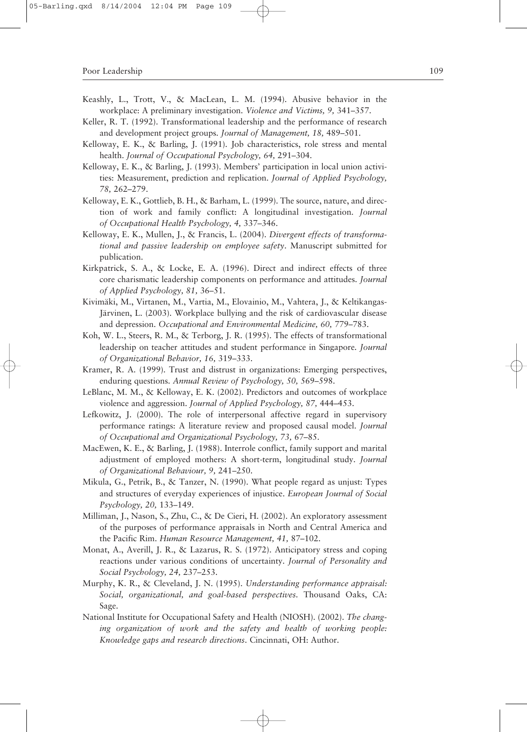- Keashly, L., Trott, V., & MacLean, L. M. (1994). Abusive behavior in the workplace: A preliminary investigation. *Violence and Victims, 9,* 341–357.
- Keller, R. T. (1992). Transformational leadership and the performance of research and development project groups*. Journal of Management, 18,* 489–501.
- Kelloway, E. K., & Barling, J. (1991). Job characteristics, role stress and mental health. *Journal of Occupational Psychology, 64,* 291–304.
- Kelloway, E. K., & Barling, J. (1993). Members' participation in local union activities: Measurement, prediction and replication. *Journal of Applied Psychology, 78,* 262–279.
- Kelloway, E. K., Gottlieb, B. H., & Barham, L. (1999). The source, nature, and direction of work and family conflict: A longitudinal investigation*. Journal of Occupational Health Psychology, 4,* 337–346.
- Kelloway, E. K., Mullen, J., & Francis, L. (2004). *Divergent effects of transformational and passive leadership on employee safety*. Manuscript submitted for publication.
- Kirkpatrick, S. A., & Locke, E. A. (1996). Direct and indirect effects of three core charismatic leadership components on performance and attitudes. *Journal of Applied Psychology, 81,* 36–51.
- Kivimäki, M., Virtanen, M., Vartia, M., Elovainio, M., Vahtera, J., & Keltikangas-Järvinen, L. (2003). Workplace bullying and the risk of cardiovascular disease and depression. *Occupational and Environmental Medicine, 60,* 779–783.
- Koh, W. L., Steers, R. M., & Terborg, J. R. (1995). The effects of transformational leadership on teacher attitudes and student performance in Singapore*. Journal of Organizational Behavior, 16,* 319–333.
- Kramer, R. A. (1999). Trust and distrust in organizations: Emerging perspectives, enduring questions. *Annual Review of Psychology, 50,* 569–598.
- LeBlanc, M. M., & Kelloway, E. K. (2002). Predictors and outcomes of workplace violence and aggression. *Journal of Applied Psychology, 87,* 444–453.
- Lefkowitz, J. (2000). The role of interpersonal affective regard in supervisory performance ratings: A literature review and proposed causal model. *Journal of Occupational and Organizational Psychology, 73,* 67–85.
- MacEwen, K. E., & Barling, J. (1988). Interrole conflict, family support and marital adjustment of employed mothers: A short-term, longitudinal study. *Journal of Organizational Behaviour, 9,* 241–250.
- Mikula, G., Petrik, B., & Tanzer, N. (1990). What people regard as unjust: Types and structures of everyday experiences of injustice. *European Journal of Social Psychology, 20,* 133–149.
- Milliman, J., Nason, S., Zhu, C., & De Cieri, H. (2002). An exploratory assessment of the purposes of performance appraisals in North and Central America and the Pacific Rim. *Human Resource Management, 41,* 87–102.
- Monat, A., Averill, J. R., & Lazarus, R. S. (1972). Anticipatory stress and coping reactions under various conditions of uncertainty. *Journal of Personality and Social Psychology, 24,* 237–253.
- Murphy, K. R., & Cleveland, J. N. (1995). *Understanding performance appraisal: Social, organizational, and goal-based perspectives.* Thousand Oaks, CA: Sage.
- National Institute for Occupational Safety and Health (NIOSH). (2002). *The changing organization of work and the safety and health of working people: Knowledge gaps and research directions*. Cincinnati, OH: Author.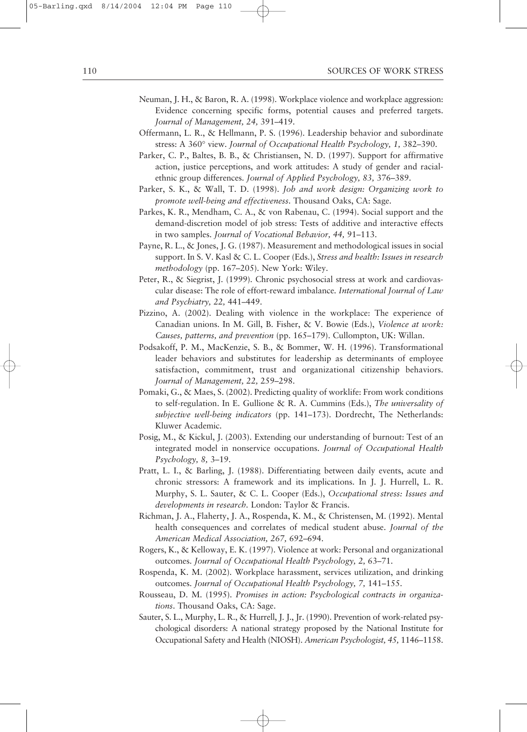05-Barling.qxd 8/14/2004 12:04 PM Page 110

Neuman, J. H., & Baron, R. A. (1998). Workplace violence and workplace aggression: Evidence concerning specific forms, potential causes and preferred targets. *Journal of Management, 24,* 391–419.

- Offermann, L. R., & Hellmann, P. S. (1996). Leadership behavior and subordinate stress: A 360° view. *Journal of Occupational Health Psychology, 1,* 382–390.
- Parker, C. P., Baltes, B. B., & Christiansen, N. D. (1997). Support for affirmative action, justice perceptions, and work attitudes: A study of gender and racialethnic group differences. *Journal of Applied Psychology, 83,* 376–389.
- Parker, S. K., & Wall, T. D. (1998). *Job and work design: Organizing work to promote well-being and effectiveness*. Thousand Oaks, CA: Sage.
- Parkes, K. R., Mendham, C. A., & von Rabenau, C. (1994). Social support and the demand-discretion model of job stress: Tests of additive and interactive effects in two samples. *Journal of Vocational Behavior, 44,* 91–113.
- Payne, R. L., & Jones, J. G. (1987). Measurement and methodological issues in social support. In S. V. Kasl & C. L. Cooper (Eds.), *Stress and health: Issues in research methodology* (pp. 167–205). New York: Wiley.
- Peter, R., & Siegrist, J. (1999). Chronic psychosocial stress at work and cardiovascular disease: The role of effort-reward imbalance*. International Journal of Law and Psychiatry, 22,* 441–449.
- Pizzino, A. (2002). Dealing with violence in the workplace: The experience of Canadian unions. In M. Gill, B. Fisher, & V. Bowie (Eds.), *Violence at work: Causes, patterns, and prevention* (pp. 165–179). Cullompton, UK: Willan.
- Podsakoff, P. M., MacKenzie, S. B., & Bommer, W. H. (1996). Transformational leader behaviors and substitutes for leadership as determinants of employee satisfaction, commitment, trust and organizational citizenship behaviors. *Journal of Management, 22,* 259–298.
- Pomaki, G., & Maes, S. (2002). Predicting quality of worklife: From work conditions to self-regulation. In E. Gullione & R. A. Cummins (Eds.), *The universality of subjective well-being indicators* (pp. 141–173). Dordrecht, The Netherlands: Kluwer Academic.
- Posig, M., & Kickul, J. (2003). Extending our understanding of burnout: Test of an integrated model in nonservice occupations. *Journal of Occupational Health Psychology, 8,* 3–19.
- Pratt, L. I., & Barling, J. (1988). Differentiating between daily events, acute and chronic stressors: A framework and its implications. In J. J. Hurrell, L. R. Murphy, S. L. Sauter, & C. L. Cooper (Eds.), *Occupational stress: Issues and developments in research.* London: Taylor & Francis.
- Richman, J. A., Flaherty, J. A., Rospenda, K. M., & Christensen, M. (1992). Mental health consequences and correlates of medical student abuse. *Journal of the American Medical Association, 267,* 692–694.
- Rogers, K., & Kelloway, E. K. (1997). Violence at work: Personal and organizational outcomes. *Journal of Occupational Health Psychology, 2,* 63–71.
- Rospenda, K. M. (2002). Workplace harassment, services utilization, and drinking outcomes. *Journal of Occupational Health Psychology, 7,* 141–155.
- Rousseau, D. M. (1995). *Promises in action: Psychological contracts in organizations*. Thousand Oaks, CA: Sage.
- Sauter, S. L., Murphy, L. R., & Hurrell, J. J., Jr. (1990). Prevention of work-related psychological disorders: A national strategy proposed by the National Institute for Occupational Safety and Health (NIOSH). *American Psychologist, 45,* 1146–1158.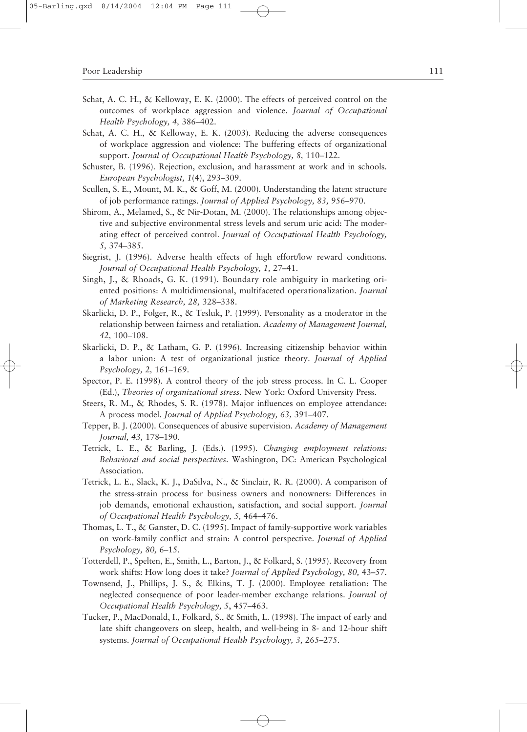- Schat, A. C. H., & Kelloway, E. K. (2000). The effects of perceived control on the outcomes of workplace aggression and violence. *Journal of Occupational Health Psychology, 4,* 386–402.
- Schat, A. C. H., & Kelloway, E. K. (2003). Reducing the adverse consequences of workplace aggression and violence: The buffering effects of organizational support. *Journal of Occupational Health Psychology, 8,* 110–122.
- Schuster, B. (1996). Rejection, exclusion, and harassment at work and in schools. *European Psychologist, 1*(4), 293–309.
- Scullen, S. E., Mount, M. K., & Goff, M. (2000). Understanding the latent structure of job performance ratings. *Journal of Applied Psychology, 83,* 956–970.
- Shirom, A., Melamed, S., & Nir-Dotan, M. (2000). The relationships among objective and subjective environmental stress levels and serum uric acid: The moderating effect of perceived control. *Journal of Occupational Health Psychology, 5,* 374–385.
- Siegrist, J. (1996). Adverse health effects of high effort/low reward conditions*. Journal of Occupational Health Psychology, 1,* 27–41.
- Singh, J., & Rhoads, G. K. (1991). Boundary role ambiguity in marketing oriented positions: A multidimensional, multifaceted operationalization. *Journal of Marketing Research, 28,* 328–338.
- Skarlicki, D. P., Folger, R., & Tesluk, P. (1999). Personality as a moderator in the relationship between fairness and retaliation. *Academy of Management Journal, 42,* 100–108.
- Skarlicki, D. P., & Latham, G. P. (1996). Increasing citizenship behavior within a labor union: A test of organizational justice theory. *Journal of Applied Psychology, 2,* 161–169.
- Spector, P. E. (1998). A control theory of the job stress process. In C. L. Cooper (Ed.), *Theories of organizational stress*. New York: Oxford University Press.
- Steers, R. M., & Rhodes, S. R. (1978). Major influences on employee attendance: A process model. *Journal of Applied Psychology, 63,* 391–407.
- Tepper, B. J. (2000). Consequences of abusive supervision. *Academy of Management Journal, 43,* 178–190.
- Tetrick, L. E., & Barling, J. (Eds.). (1995). *Changing employment relations: Behavioral and social perspectives*. Washington, DC: American Psychological Association.
- Tetrick, L. E., Slack, K. J., DaSilva, N., & Sinclair, R. R. (2000). A comparison of the stress-strain process for business owners and nonowners: Differences in job demands, emotional exhaustion, satisfaction, and social support. *Journal of Occupational Health Psychology, 5,* 464–476.
- Thomas, L. T., & Ganster, D. C. (1995). Impact of family-supportive work variables on work-family conflict and strain: A control perspective. *Journal of Applied Psychology, 80,* 6–15.
- Totterdell, P., Spelten, E., Smith, L., Barton, J., & Folkard, S. (1995). Recovery from work shifts: How long does it take? *Journal of Applied Psychology, 80,* 43–57.
- Townsend, J., Phillips, J. S., & Elkins, T. J. (2000). Employee retaliation: The neglected consequence of poor leader-member exchange relations. *Journal of Occupational Health Psychology, 5*, 457–463.
- Tucker, P., MacDonald, I., Folkard, S., & Smith, L. (1998). The impact of early and late shift changeovers on sleep, health, and well-being in 8- and 12-hour shift systems. *Journal of Occupational Health Psychology, 3,* 265–275.